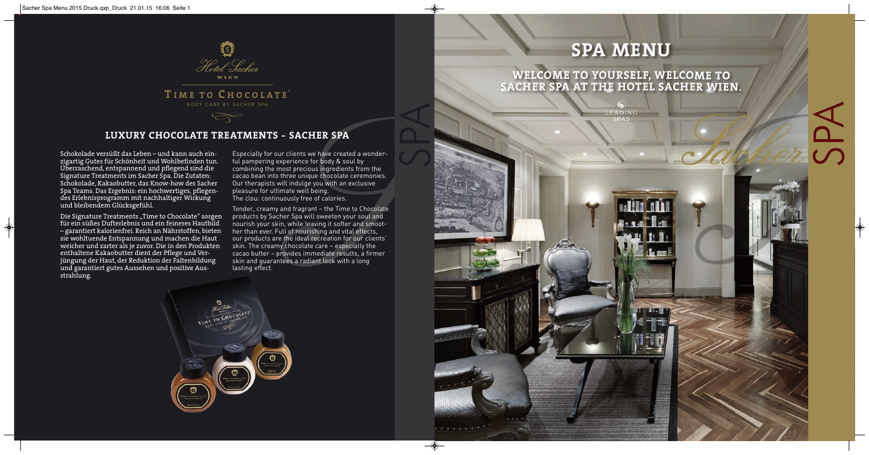# **LUXURY CHOCOLATE TREATMENTS - SACHER SPA**



# **T IME TO C HOCOLATE ®** BODY CARE BY SACHER SPA

 $\lll$ 





Schokolade versüßt das Leben – und kann auch einzigartig Gutes für Schönheit und Wohlbefinden tun. Überraschend, entspannend und pflegend sind die Signature Treatments im Sacher Spa. Die Zutaten: Schokolade, Kakaobutter, das Know-how des Sacher Spa Teams. Das Ergebnis: ein hochwertiges, pflegendes Erlebnisprogramm mit nachhaltiger Wirkung und bleibendem Glücksgefühl.

Die Signature Treatments "Time to Chocolate" sorgen für ein süßes Dufterlebnis und ein feineres Hautbild – garantiert kalorienfrei. Reich an Nährstoffen, bieten sie wohltuende Entspannung und machen die Haut weicher und zarter als je zuvor. Die in den Produkten enthaltene Kakaobutter dient der Pflege und Verjüngung der Haut, der Reduktion der Faltenbildung und garantiert gutes Aussehen und positive Ausstrahlung.

Especially for our clients we have created a wonderful pampering experience for body & soul by combining the most precious ingredients from the cacao bean into three unique chocolate ceremonies. Our therapists will indulge you with an exclusive pleasure for ultimate well being. The clou: continuously free of calories.

Tender, creamy and fragrant – the Time to Chocolate products by Sacher Spa will sweeten your soul and nourish your skin, while leaving it softer and smoother than ever. Full of nourishing and vital effects, our products are the ideal recreation for our clients' skin. The creamy chocolate care – especially the cacao butter – provides immediate results, a firmer skin and guarantees a radiant look with a long lasting effect.